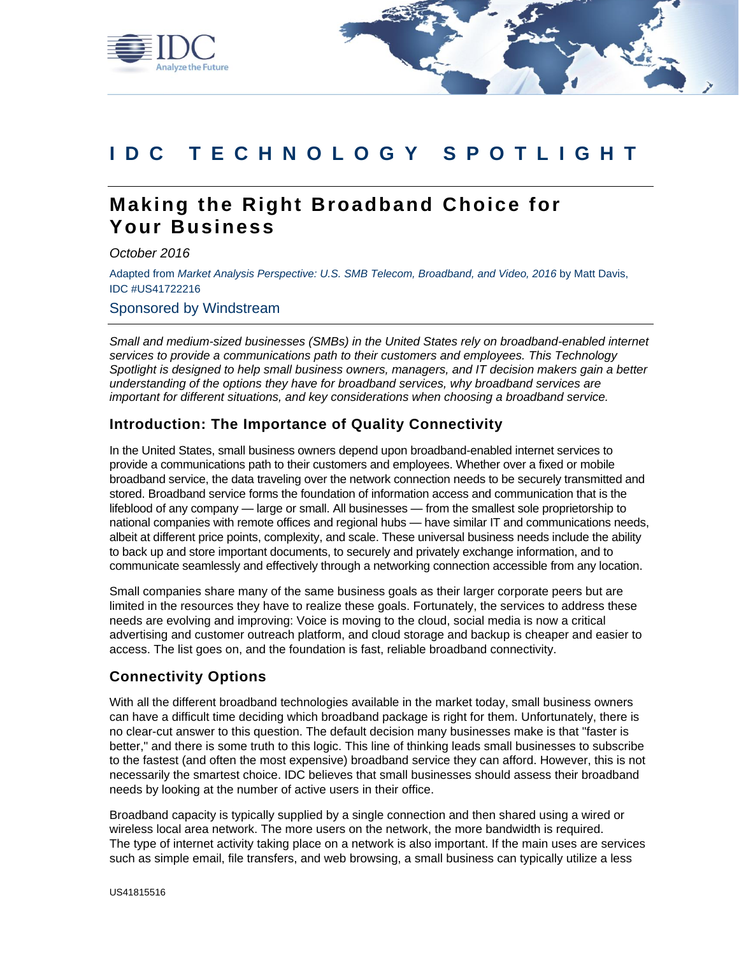

# **I D C T E C H N O L O G Y S P O T L I G H T**

# **Making the Right Broadband Choice for Your Business**

*October 2016*

Adapted from *Market Analysis Perspective: U.S. SMB Telecom, Broadband, and Video, 2016* by Matt Davis, IDC #US41722216

Sponsored by Windstream

*Small and medium-sized businesses (SMBs) in the United States rely on broadband-enabled internet services to provide a communications path to their customers and employees. This Technology Spotlight is designed to help small business owners, managers, and IT decision makers gain a better understanding of the options they have for broadband services, why broadband services are important for different situations, and key considerations when choosing a broadband service.*

## **Introduction: The Importance of Quality Connectivity**

In the United States, small business owners depend upon broadband-enabled internet services to provide a communications path to their customers and employees. Whether over a fixed or mobile broadband service, the data traveling over the network connection needs to be securely transmitted and stored. Broadband service forms the foundation of information access and communication that is the lifeblood of any company — large or small. All businesses — from the smallest sole proprietorship to national companies with remote offices and regional hubs — have similar IT and communications needs, albeit at different price points, complexity, and scale. These universal business needs include the ability to back up and store important documents, to securely and privately exchange information, and to communicate seamlessly and effectively through a networking connection accessible from any location.

Small companies share many of the same business goals as their larger corporate peers but are limited in the resources they have to realize these goals. Fortunately, the services to address these needs are evolving and improving: Voice is moving to the cloud, social media is now a critical advertising and customer outreach platform, and cloud storage and backup is cheaper and easier to access. The list goes on, and the foundation is fast, reliable broadband connectivity.

## **Connectivity Options**

With all the different broadband technologies available in the market today, small business owners can have a difficult time deciding which broadband package is right for them. Unfortunately, there is no clear-cut answer to this question. The default decision many businesses make is that "faster is better," and there is some truth to this logic. This line of thinking leads small businesses to subscribe to the fastest (and often the most expensive) broadband service they can afford. However, this is not necessarily the smartest choice. IDC believes that small businesses should assess their broadband needs by looking at the number of active users in their office.

Broadband capacity is typically supplied by a single connection and then shared using a wired or wireless local area network. The more users on the network, the more bandwidth is required. The type of internet activity taking place on a network is also important. If the main uses are services such as simple email, file transfers, and web browsing, a small business can typically utilize a less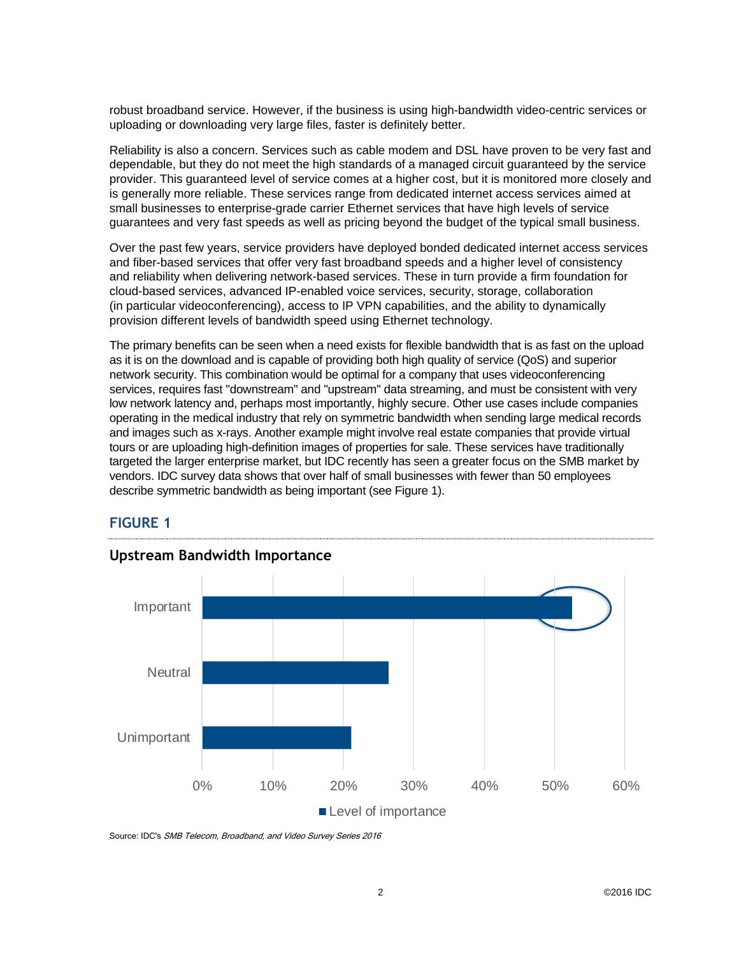robust broadband service. However, if the business is using high-bandwidth video-centric services or uploading or downloading very large files, faster is definitely better.

Reliability is also a concern. Services such as cable modem and DSL have proven to be very fast and dependable, but they do not meet the high standards of a managed circuit guaranteed by the service provider. This guaranteed level of service comes at a higher cost, but it is monitored more closely and is generally more reliable. These services range from dedicated internet access services aimed at small businesses to enterprise-grade carrier Ethernet services that have high levels of service guarantees and very fast speeds as well as pricing beyond the budget of the typical small business.

Over the past few years, service providers have deployed bonded dedicated internet access services and fiber-based services that offer very fast broadband speeds and a higher level of consistency and reliability when delivering network-based services. These in turn provide a firm foundation for cloud-based services, advanced IP-enabled voice services, security, storage, collaboration (in particular videoconferencing), access to IP VPN capabilities, and the ability to dynamically provision different levels of bandwidth speed using Ethernet technology.

The primary benefits can be seen when a need exists for flexible bandwidth that is as fast on the upload as it is on the download and is capable of providing both high quality of service (QoS) and superior network security. This combination would be optimal for a company that uses videoconferencing services, requires fast "downstream" and "upstream" data streaming, and must be consistent with very low network latency and, perhaps most importantly, highly secure. Other use cases include companies operating in the medical industry that rely on symmetric bandwidth when sending large medical records and images such as x-rays. Another example might involve real estate companies that provide virtual tours or are uploading high-definition images of properties for sale. These services have traditionally targeted the larger enterprise market, but IDC recently has seen a greater focus on the SMB market by vendors. IDC survey data shows that over half of small businesses with fewer than 50 employees describe symmetric bandwidth as being important (see Figure 1).

### **FIGURE 1**



# **Upstream Bandwidth Importance**

Source: IDC's SMB Telecom, Broadband, and Video Survey Series 2016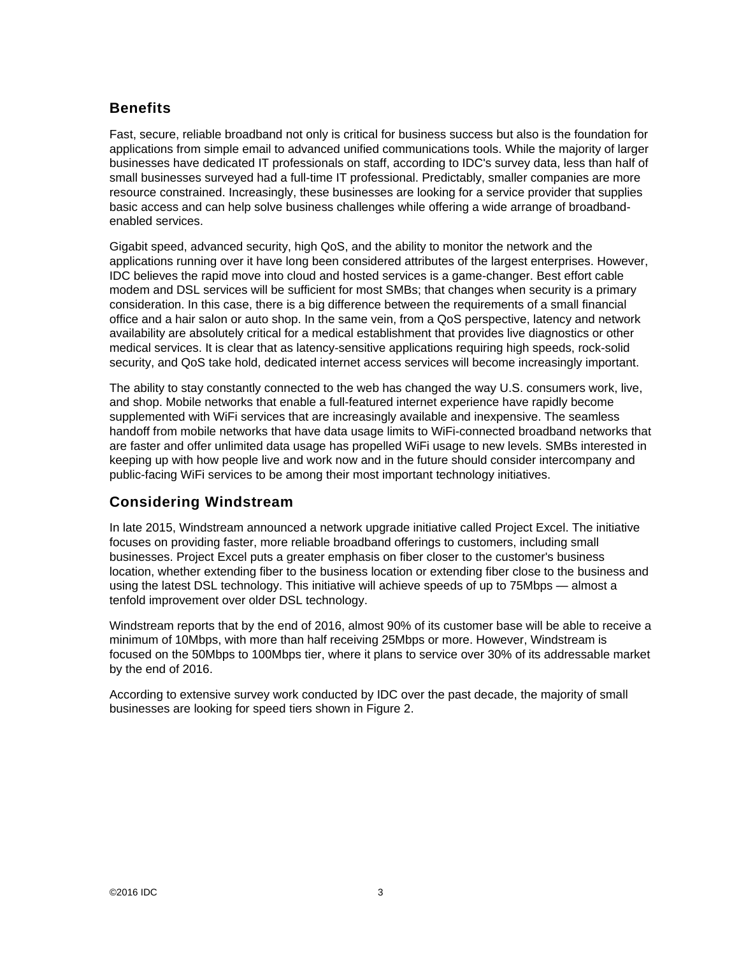# **Benefits**

Fast, secure, reliable broadband not only is critical for business success but also is the foundation for applications from simple email to advanced unified communications tools. While the majority of larger businesses have dedicated IT professionals on staff, according to IDC's survey data, less than half of small businesses surveyed had a full-time IT professional. Predictably, smaller companies are more resource constrained. Increasingly, these businesses are looking for a service provider that supplies basic access and can help solve business challenges while offering a wide arrange of broadbandenabled services.

Gigabit speed, advanced security, high QoS, and the ability to monitor the network and the applications running over it have long been considered attributes of the largest enterprises. However, IDC believes the rapid move into cloud and hosted services is a game-changer. Best effort cable modem and DSL services will be sufficient for most SMBs; that changes when security is a primary consideration. In this case, there is a big difference between the requirements of a small financial office and a hair salon or auto shop. In the same vein, from a QoS perspective, latency and network availability are absolutely critical for a medical establishment that provides live diagnostics or other medical services. It is clear that as latency-sensitive applications requiring high speeds, rock-solid security, and QoS take hold, dedicated internet access services will become increasingly important.

The ability to stay constantly connected to the web has changed the way U.S. consumers work, live, and shop. Mobile networks that enable a full-featured internet experience have rapidly become supplemented with WiFi services that are increasingly available and inexpensive. The seamless handoff from mobile networks that have data usage limits to WiFi-connected broadband networks that are faster and offer unlimited data usage has propelled WiFi usage to new levels. SMBs interested in keeping up with how people live and work now and in the future should consider intercompany and public-facing WiFi services to be among their most important technology initiatives.

# **Considering Windstream**

In late 2015, Windstream announced a network upgrade initiative called Project Excel. The initiative focuses on providing faster, more reliable broadband offerings to customers, including small businesses. Project Excel puts a greater emphasis on fiber closer to the customer's business location, whether extending fiber to the business location or extending fiber close to the business and using the latest DSL technology. This initiative will achieve speeds of up to 75Mbps — almost a tenfold improvement over older DSL technology.

Windstream reports that by the end of 2016, almost 90% of its customer base will be able to receive a minimum of 10Mbps, with more than half receiving 25Mbps or more. However, Windstream is focused on the 50Mbps to 100Mbps tier, where it plans to service over 30% of its addressable market by the end of 2016.

According to extensive survey work conducted by IDC over the past decade, the majority of small businesses are looking for speed tiers shown in Figure 2.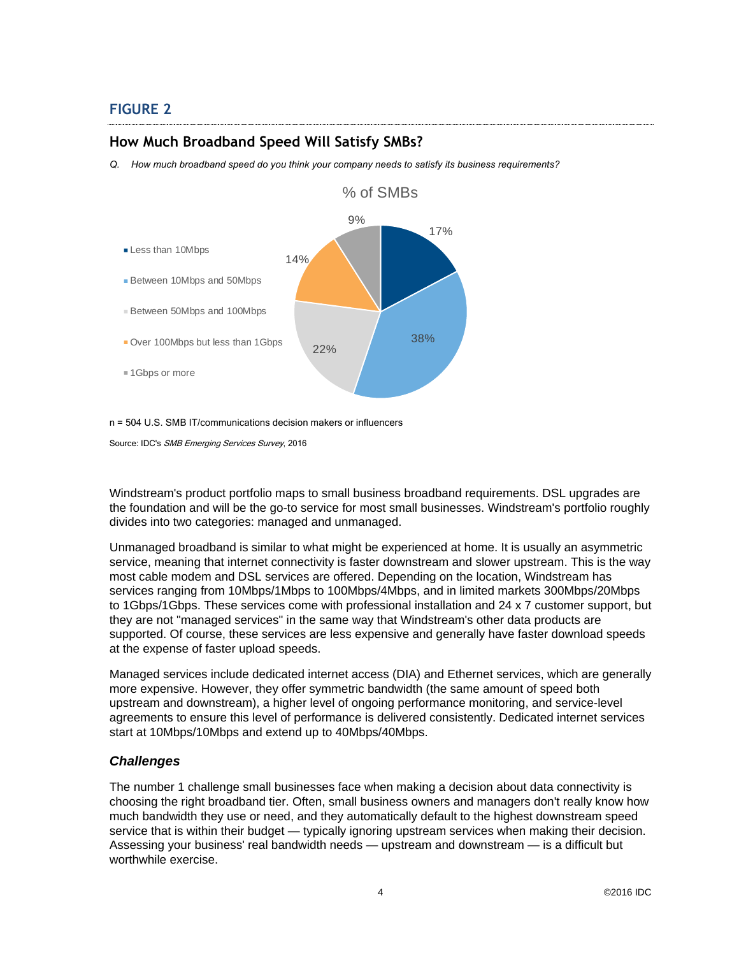# **FIGURE 2**

#### **How Much Broadband Speed Will Satisfy SMBs?**

*Q. How much broadband speed do you think your company needs to satisfy its business requirements?*



n = 504 U.S. SMB IT/communications decision makers or influencers

Source: IDC's SMB Emerging Services Survey, 2016

Windstream's product portfolio maps to small business broadband requirements. DSL upgrades are the foundation and will be the go-to service for most small businesses. Windstream's portfolio roughly divides into two categories: managed and unmanaged.

Unmanaged broadband is similar to what might be experienced at home. It is usually an asymmetric service, meaning that internet connectivity is faster downstream and slower upstream. This is the way most cable modem and DSL services are offered. Depending on the location, Windstream has services ranging from 10Mbps/1Mbps to 100Mbps/4Mbps, and in limited markets 300Mbps/20Mbps to 1Gbps/1Gbps. These services come with professional installation and 24 x 7 customer support, but they are not "managed services" in the same way that Windstream's other data products are supported. Of course, these services are less expensive and generally have faster download speeds at the expense of faster upload speeds.

Managed services include dedicated internet access (DIA) and Ethernet services, which are generally more expensive. However, they offer symmetric bandwidth (the same amount of speed both upstream and downstream), a higher level of ongoing performance monitoring, and service-level agreements to ensure this level of performance is delivered consistently. Dedicated internet services start at 10Mbps/10Mbps and extend up to 40Mbps/40Mbps.

#### *Challenges*

The number 1 challenge small businesses face when making a decision about data connectivity is choosing the right broadband tier. Often, small business owners and managers don't really know how much bandwidth they use or need, and they automatically default to the highest downstream speed service that is within their budget — typically ignoring upstream services when making their decision. Assessing your business' real bandwidth needs — upstream and downstream — is a difficult but worthwhile exercise.